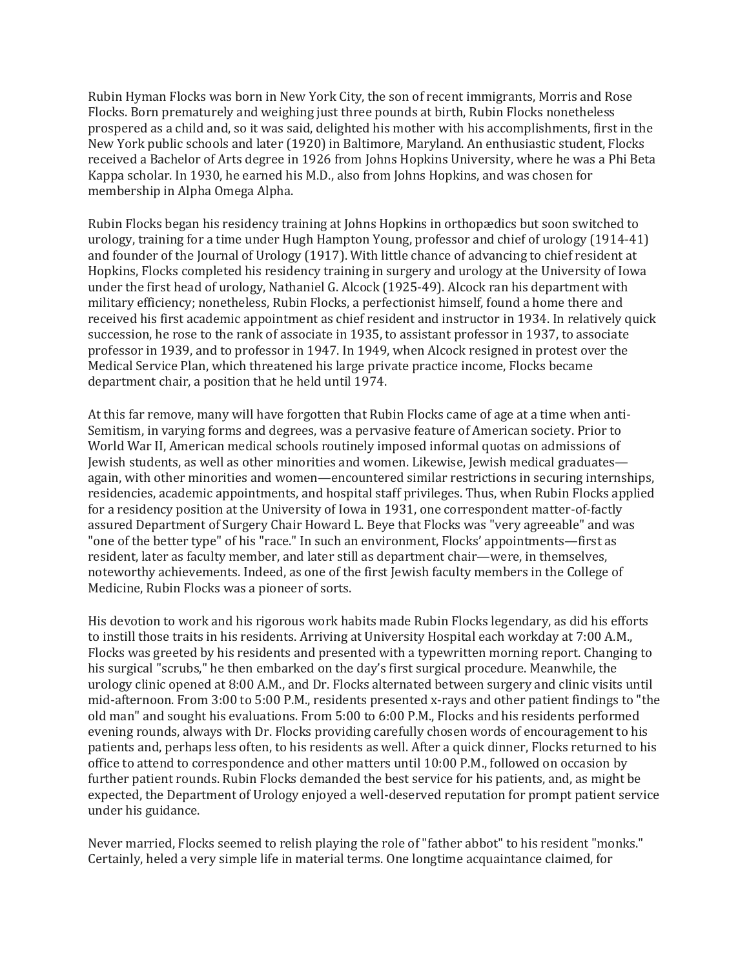Rubin Hyman Flocks was born in New York City, the son of recent immigrants, Morris and Rose Flocks. Born prematurely and weighing just three pounds at birth, Rubin Flocks nonetheless prospered as a child and, so it was said, delighted his mother with his accomplishments, first in the New York public schools and later (1920) in Baltimore, Maryland. An enthusiastic student, Flocks received a Bachelor of Arts degree in 1926 from Johns Hopkins University, where he was a Phi Beta Kappa scholar. In 1930, he earned his M.D., also from Johns Hopkins, and was chosen for membership in Alpha Omega Alpha.

Rubin Flocks began his residency training at Johns Hopkins in orthopædics but soon switched to urology, training for a time under Hugh Hampton Young, professor and chief of urology (1914-41) and founder of the Journal of Urology (1917). With little chance of advancing to chief resident at Hopkins, Flocks completed his residency training in surgery and urology at the University of Iowa under the first head of urology, Nathaniel G. Alcock (1925-49). Alcock ran his department with military efficiency; nonetheless, Rubin Flocks, a perfectionist himself, found a home there and received his first academic appointment as chief resident and instructor in 1934. In relatively quick succession, he rose to the rank of associate in 1935, to assistant professor in 1937, to associate professor in 1939, and to professor in 1947. In 1949, when Alcock resigned in protest over the Medical Service Plan, which threatened his large private practice income, Flocks became department chair, a position that he held until 1974.

At this far remove, many will have forgotten that Rubin Flocks came of age at a time when anti-Semitism, in varying forms and degrees, was a pervasive feature of American society. Prior to World War II, American medical schools routinely imposed informal quotas on admissions of Jewish students, as well as other minorities and women. Likewise, Jewish medical graduates again, with other minorities and women—encountered similar restrictions in securing internships, residencies, academic appointments, and hospital staff privileges. Thus, when Rubin Flocks applied for a residency position at the University of Iowa in 1931, one correspondent matter-of-factly assured Department of Surgery Chair Howard L. Beye that Flocks was "very agreeable" and was "one of the better type" of his "race." In such an environment, Flocks' appointments—first as resident, later as faculty member, and later still as department chair—were, in themselves, noteworthy achievements. Indeed, as one of the first Jewish faculty members in the College of Medicine, Rubin Flocks was a pioneer of sorts.

His devotion to work and his rigorous work habits made Rubin Flocks legendary, as did his efforts to instill those traits in his residents. Arriving at University Hospital each workday at 7:00 A.M., Flocks was greeted by his residents and presented with a typewritten morning report. Changing to his surgical "scrubs," he then embarked on the day's first surgical procedure. Meanwhile, the urology clinic opened at 8:00 A.M., and Dr. Flocks alternated between surgery and clinic visits until mid-afternoon. From 3:00 to 5:00 P.M., residents presented x-rays and other patient findings to "the old man" and sought his evaluations. From 5:00 to 6:00 P.M., Flocks and his residents performed evening rounds, always with Dr. Flocks providing carefully chosen words of encouragement to his patients and, perhaps less often, to his residents as well. After a quick dinner, Flocks returned to his office to attend to correspondence and other matters until 10:00 P.M., followed on occasion by further patient rounds. Rubin Flocks demanded the best service for his patients, and, as might be expected, the Department of Urology enjoyed a well-deserved reputation for prompt patient service under his guidance.

Never married, Flocks seemed to relish playing the role of "father abbot" to his resident "monks." Certainly, heled a very simple life in material terms. One longtime acquaintance claimed, for